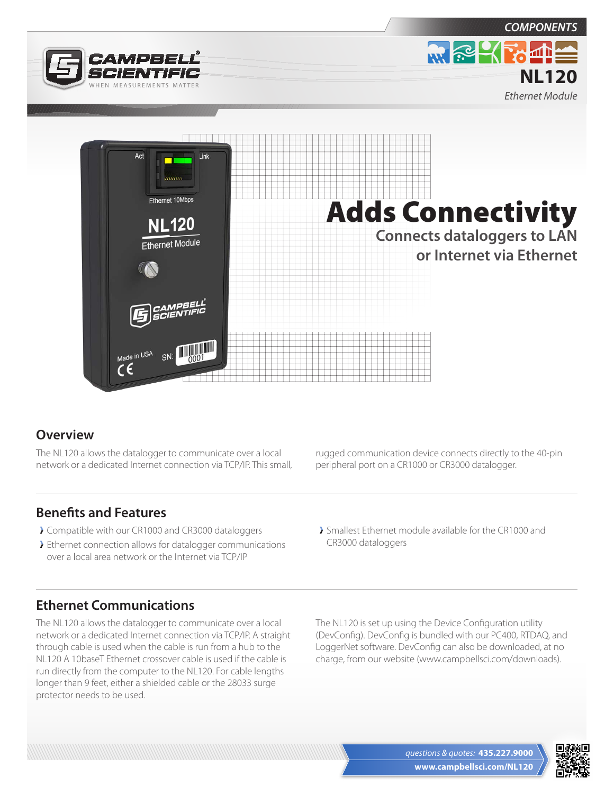



## **Overview**

The NL120 allows the datalogger to communicate over a local network or a dedicated Internet connection via TCP/IP. This small,

**Benefits and Features**

- Compatible with our CR1000 and CR3000 dataloggers
- Ethernet connection allows for datalogger communications over a local area network or the Internet via TCP/IP

rugged communication device connects directly to the 40-pin peripheral port on a CR1000 or CR3000 datalogger.

Smallest Ethernet module available for the CR1000 and CR3000 dataloggers

## **Ethernet Communications**

The NL120 allows the datalogger to communicate over a local network or a dedicated Internet connection via TCP/IP. A straight through cable is used when the cable is run from a hub to the NL120 A 10baseT Ethernet crossover cable is used if the cable is run directly from the computer to the NL120. For cable lengths longer than 9 feet, either a shielded cable or the 28033 surge protector needs to be used.

The NL120 is set up using the Device Configuration utility (DevConfig). DevConfig is bundled with our PC400, RTDAQ, and LoggerNet software. DevConfig can also be downloaded, at no charge, from our website (www.campbellsci.com/downloads).



*COMPONENTS*

**MRCKFOLL** 

**NL120** *Ethernet Module*